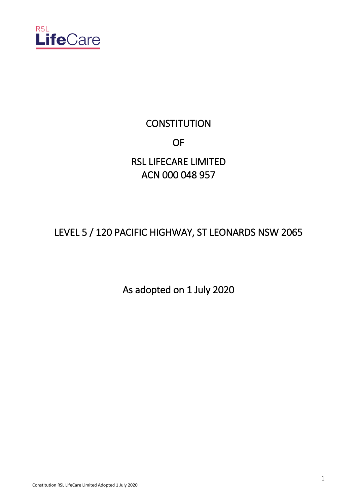

# **CONSTITUTION OF OF** RSL LIFECARE LIMITED

# ACN 000 048 957

# LEVEL 5 / 120 PACIFIC HIGHWAY, ST LEONARDS NSW 2065

As adopted on 1 July 2020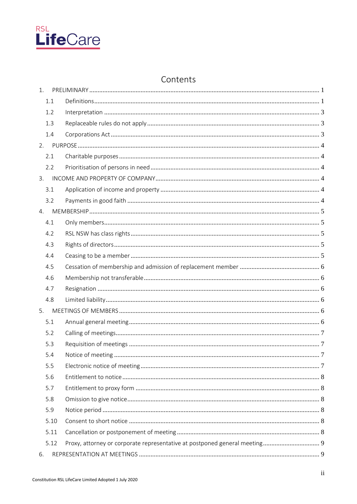

# Contents

| 1.   |                                                                            |  |
|------|----------------------------------------------------------------------------|--|
| 1.1  |                                                                            |  |
| 1.2  |                                                                            |  |
| 1.3  |                                                                            |  |
| 1.4  |                                                                            |  |
| 2.   |                                                                            |  |
| 2.1  |                                                                            |  |
| 2.2  |                                                                            |  |
| 3.   |                                                                            |  |
| 3.1  |                                                                            |  |
| 3.2  |                                                                            |  |
| 4.   |                                                                            |  |
| 4.1  |                                                                            |  |
| 4.2  |                                                                            |  |
| 4.3  |                                                                            |  |
| 4.4  |                                                                            |  |
| 4.5  |                                                                            |  |
| 4.6  |                                                                            |  |
| 4.7  |                                                                            |  |
| 4.8  |                                                                            |  |
| 5.   |                                                                            |  |
| 5.1  |                                                                            |  |
| 5.2  |                                                                            |  |
| 5.3  |                                                                            |  |
| 5.4  |                                                                            |  |
| 5.5  |                                                                            |  |
| 5.6  |                                                                            |  |
| 5.7  |                                                                            |  |
| 5.8  |                                                                            |  |
| 5.9  |                                                                            |  |
| 5.10 |                                                                            |  |
| 5.11 |                                                                            |  |
| 5.12 | Proxy, attorney or corporate representative at postponed general meeting 9 |  |
| 6.   |                                                                            |  |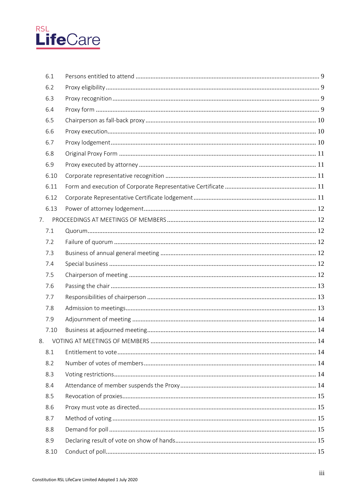

|    | 6.1  |  |
|----|------|--|
|    | 6.2  |  |
|    | 6.3  |  |
|    | 6.4  |  |
|    | 6.5  |  |
|    | 6.6  |  |
|    | 6.7  |  |
|    | 6.8  |  |
|    | 6.9  |  |
|    | 6.10 |  |
|    | 6.11 |  |
|    | 6.12 |  |
|    | 6.13 |  |
| 7. |      |  |
|    | 7.1  |  |
|    | 7.2  |  |
|    | 7.3  |  |
|    | 7.4  |  |
|    | 7.5  |  |
|    | 7.6  |  |
|    | 7.7  |  |
|    | 7.8  |  |
|    | 7.9  |  |
|    | 7.10 |  |
|    |      |  |
|    | 8.1  |  |
|    | 8.2  |  |
|    | 8.3  |  |
|    | 8.4  |  |
|    | 8.5  |  |
|    | 8.6  |  |
|    | 8.7  |  |
|    | 8.8  |  |
|    | 8.9  |  |
|    | 8.10 |  |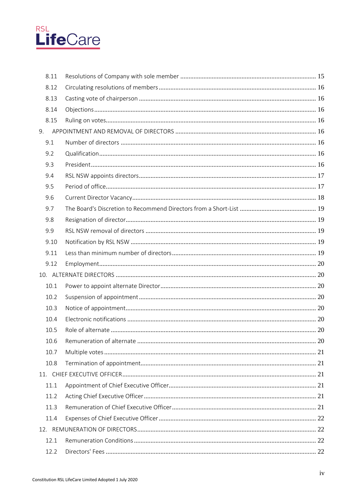

|    | 8.11 |  |
|----|------|--|
|    | 8.12 |  |
|    | 8.13 |  |
|    | 8.14 |  |
|    | 8.15 |  |
| 9. |      |  |
|    | 9.1  |  |
|    | 9.2  |  |
|    | 9.3  |  |
|    | 9.4  |  |
|    | 9.5  |  |
|    | 9.6  |  |
|    | 9.7  |  |
|    | 9.8  |  |
|    | 9.9  |  |
|    | 9.10 |  |
|    | 9.11 |  |
|    | 9.12 |  |
|    |      |  |
|    | 10.1 |  |
|    | 10.2 |  |
|    | 10.3 |  |
|    | 10.4 |  |
|    | 10.5 |  |
|    | 10.6 |  |
|    | 10.7 |  |
|    | 10.8 |  |
|    |      |  |
|    | 11.1 |  |
|    | 11.2 |  |
|    | 11.3 |  |
|    | 11.4 |  |
|    |      |  |
|    | 12.1 |  |
|    | 12.2 |  |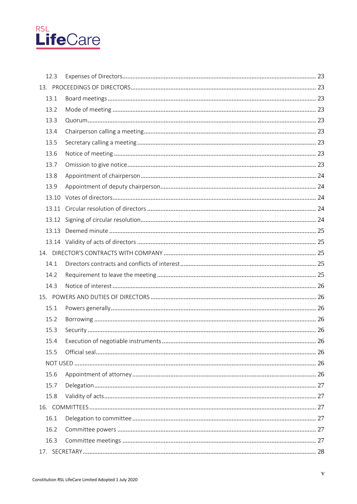

| 12.3  |  |  |
|-------|--|--|
|       |  |  |
| 13.1  |  |  |
| 13.2  |  |  |
| 13.3  |  |  |
| 13.4  |  |  |
| 13.5  |  |  |
| 13.6  |  |  |
| 13.7  |  |  |
| 13.8  |  |  |
| 13.9  |  |  |
| 13.10 |  |  |
|       |  |  |
|       |  |  |
| 13.13 |  |  |
|       |  |  |
|       |  |  |
| 14.1  |  |  |
| 14.2  |  |  |
| 14.3  |  |  |
|       |  |  |
| 15.1  |  |  |
| 15.2  |  |  |
| 15.3  |  |  |
|       |  |  |
| 15.5  |  |  |
|       |  |  |
| 15.6  |  |  |
| 15.7  |  |  |
| 15.8  |  |  |
|       |  |  |
| 16.1  |  |  |
| 16.2  |  |  |
| 16.3  |  |  |
|       |  |  |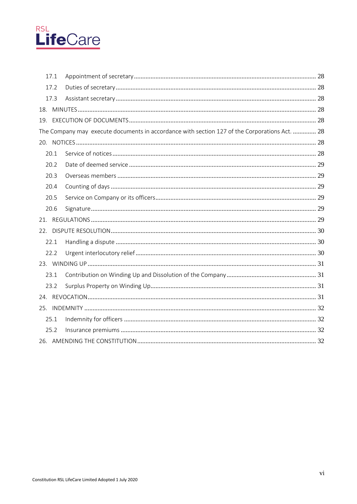

|     | 17.1 |                                                                                               |  |
|-----|------|-----------------------------------------------------------------------------------------------|--|
|     | 17.2 |                                                                                               |  |
|     | 17.3 |                                                                                               |  |
|     |      |                                                                                               |  |
|     |      |                                                                                               |  |
|     |      | The Company may execute documents in accordance with section 127 of the Corporations Act.  28 |  |
|     |      |                                                                                               |  |
|     | 20.1 |                                                                                               |  |
|     | 20.2 |                                                                                               |  |
|     | 20.3 |                                                                                               |  |
|     | 20.4 |                                                                                               |  |
|     | 20.5 |                                                                                               |  |
|     | 20.6 |                                                                                               |  |
|     |      |                                                                                               |  |
| 22. |      |                                                                                               |  |
|     | 22.1 |                                                                                               |  |
|     | 22.2 |                                                                                               |  |
|     |      |                                                                                               |  |
|     | 23.1 |                                                                                               |  |
|     | 23.2 |                                                                                               |  |
|     |      |                                                                                               |  |
|     |      |                                                                                               |  |
|     | 25.1 |                                                                                               |  |
|     | 25.2 |                                                                                               |  |
|     |      |                                                                                               |  |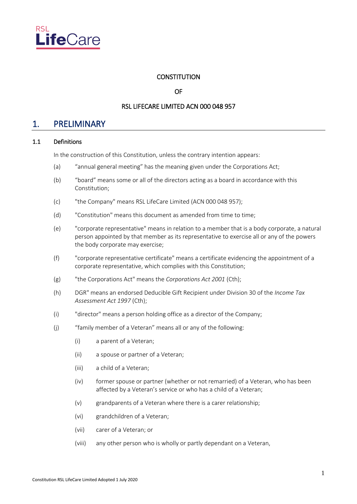

# **CONSTITUTION**

OF

# RSL LIFECARE LIMITED ACN 000 048 957

# <span id="page-6-0"></span>1. PRELIMINARY

# <span id="page-6-1"></span>1.1 Definitions

In the construction of this Constitution, unless the contrary intention appears:

- (a) "annual general meeting" has the meaning given under the Corporations Act;
- (b) "board" means some or all of the directors acting as a board in accordance with this Constitution;
- (c) "the Company" means RSL LifeCare Limited (ACN 000 048 957);
- (d) "Constitution" means this document as amended from time to time;
- (e) "corporate representative" means in relation to a member that is a body corporate, a natural person appointed by that member as its representative to exercise all or any of the powers the body corporate may exercise;
- (f) "corporate representative certificate" means a certificate evidencing the appointment of a corporate representative, which complies with this Constitution;
- (g) "the Corporations Act" means the *Corporations Act 2001* (Cth);
- (h) DGR" means an endorsed Deducible Gift Recipient under Division 30 of the *Income Tax Assessment Act 1997* (Cth);
- (i) "director" means a person holding office as a director of the Company;
- (j) "family member of a Veteran" means all or any of the following:
	- (i) a parent of a Veteran;
	- (ii) a spouse or partner of a Veteran;
	- (iii) a child of a Veteran;
	- (iv) former spouse or partner (whether or not remarried) of a Veteran, who has been affected by a Veteran's service or who has a child of a Veteran;
	- (v) grandparents of a Veteran where there is a carer relationship;
	- (vi) grandchildren of a Veteran;
	- (vii) carer of a Veteran; or
	- (viii) any other person who is wholly or partly dependant on a Veteran,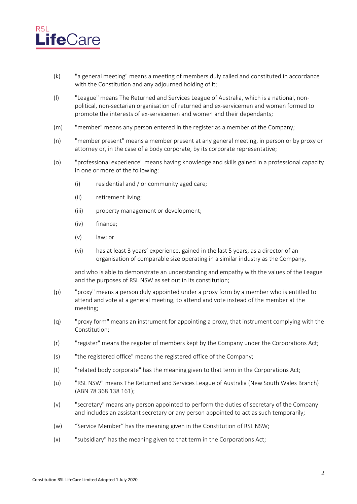

- (k) "a general meeting" means a meeting of members duly called and constituted in accordance with the Constitution and any adjourned holding of it;
- (l) "League" means The Returned and Services League of Australia, which is a national, nonpolitical, non-sectarian organisation of returned and ex-servicemen and women formed to promote the interests of ex-servicemen and women and their dependants;
- (m) "member" means any person entered in the register as a member of the Company;
- (n) "member present" means a member present at any general meeting, in person or by proxy or attorney or, in the case of a body corporate, by its corporate representative;
- (o) "professional experience" means having knowledge and skills gained in a professional capacity in one or more of the following:
	- (i) residential and / or community aged care;
	- (ii) retirement living;
	- (iii) property management or development;
	- (iv) finance;
	- (v) law; or
	- (vi) has at least 3 years' experience, gained in the last 5 years, as a director of an organisation of comparable size operating in a similar industry as the Company,

and who is able to demonstrate an understanding and empathy with the values of the League and the purposes of RSL NSW as set out in its constitution;

- (p) "proxy" means a person duly appointed under a proxy form by a member who is entitled to attend and vote at a general meeting, to attend and vote instead of the member at the meeting;
- (q) "proxy form" means an instrument for appointing a proxy, that instrument complying with the Constitution;
- (r) "register" means the register of members kept by the Company under the Corporations Act;
- (s) "the registered office" means the registered office of the Company;
- (t) "related body corporate" has the meaning given to that term in the Corporations Act;
- (u) "RSL NSW" means The Returned and Services League of Australia (New South Wales Branch) (ABN 78 368 138 161);
- (v) "secretary" means any person appointed to perform the duties of secretary of the Company and includes an assistant secretary or any person appointed to act as such temporarily;
- (w) "Service Member" has the meaning given in the Constitution of RSL NSW;
- (x) "subsidiary" has the meaning given to that term in the Corporations Act;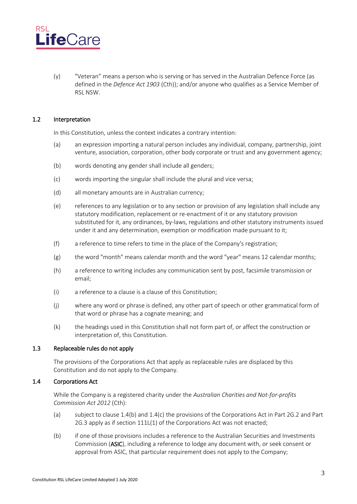

(y) "Veteran" means a person who is serving or has served in the Australian Defence Force (as defined in the *Defence Act 1903* (Cth)); and/or anyone who qualifies as a Service Member of RSL NSW.

### <span id="page-8-0"></span>1.2 Interpretation

In this Constitution, unless the context indicates a contrary intention:

- (a) an expression importing a natural person includes any individual, company, partnership, joint venture, association, corporation, other body corporate or trust and any government agency;
- (b) words denoting any gender shall include all genders;
- (c) words importing the singular shall include the plural and vice versa;
- (d) all monetary amounts are in Australian currency;
- (e) references to any legislation or to any section or provision of any legislation shall include any statutory modification, replacement or re-enactment of it or any statutory provision substituted for it, any ordinances, by-laws, regulations and other statutory instruments issued under it and any determination, exemption or modification made pursuant to it;
- (f) a reference to time refers to time in the place of the Company's registration;
- (g) the word "month" means calendar month and the word "year" means 12 calendar months;
- (h) a reference to writing includes any communication sent by post, facsimile transmission or email;
- (i) a reference to a clause is a clause of this Constitution;
- (j) where any word or phrase is defined, any other part of speech or other grammatical form of that word or phrase has a cognate meaning; and
- (k) the headings used in this Constitution shall not form part of, or affect the construction or interpretation of, this Constitution.

### <span id="page-8-1"></span>1.3 Replaceable rules do not apply

The provisions of the Corporations Act that apply as replaceable rules are displaced by this Constitution and do not apply to the Company.

### <span id="page-8-2"></span>1.4 Corporations Act

While the Company is a registered charity under the *Australian Charities and Not-for-profits Commission Act 2012* (Cth):

- (a) subject to clause 1.4(b) and 1.4(c) the provisions of the Corporations Act in Part 2G.2 and Part 2G.3 apply as if section 111L(1) of the Corporations Act was not enacted;
- (b) if one of those provisions includes a reference to the Australian Securities and Investments Commission (ASIC), including a reference to lodge any document with, or seek consent or approval from ASIC, that particular requirement does not apply to the Company;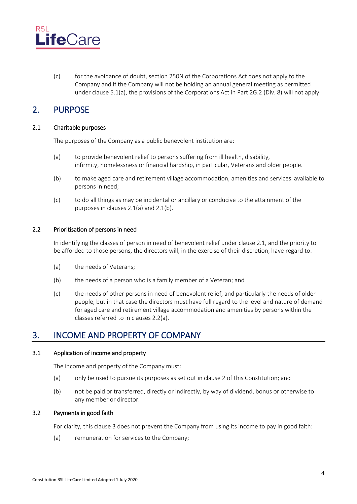

(c) for the avoidance of doubt, section 250N of the Corporations Act does not apply to the Company and if the Company will not be holding an annual general meeting as permitted under clause 5.1(a), the provisions of the Corporations Act in Part 2G.2 (Div. 8) will not apply.

# <span id="page-9-0"></span>2. PURPOSE

# <span id="page-9-1"></span>2.1 Charitable purposes

The purposes of the Company as a public benevolent institution are:

- (a) to provide benevolent relief to persons suffering from ill health, disability, infirmity, homelessness or financial hardship, in particular, Veterans and older people.
- (b) to make aged care and retirement village accommodation, amenities and services  available to persons in need;
- (c) to do all things as may be incidental or ancillary or conducive to the attainment of the purposes in clauses 2.1(a) and 2.1(b).

### <span id="page-9-2"></span>2.2 Prioritisation of persons in need

In identifying the classes of person in need of benevolent relief under clause 2.1, and the priority to be afforded to those persons, the directors will, in the exercise of their discretion, have regard to:

- (a) the needs of Veterans;
- (b) the needs of a person who is a family member of a Veteran; and
- (c) the needs of other persons in need of benevolent relief, and particularly the needs of older people, but in that case the directors must have full regard to the level and nature of demand for aged care and retirement village accommodation and amenities by persons within the classes referred to in clauses 2.2(a).

# <span id="page-9-3"></span>3. INCOME AND PROPERTY OF COMPANY

### <span id="page-9-4"></span>3.1 Application of income and property

The income and property of the Company must:

- (a) only be used to pursue its purposes as set out in clause [2](#page-9-0) of this Constitution; and
- (b) not be paid or transferred, directly or indirectly, by way of dividend, bonus or otherwise to any member or director.

# <span id="page-9-5"></span>3.2 Payments in good faith

For clarity, this clause [3](#page-9-3) does not prevent the Company from using its income to pay in good faith:

(a) remuneration for services to the Company;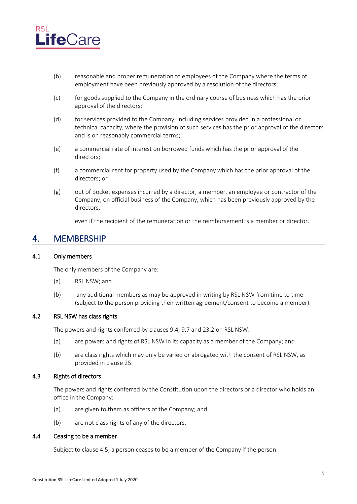

- (b) reasonable and proper remuneration to employees of the Company where the terms of employment have been previously approved by a resolution of the directors;
- (c) for goods supplied to the Company in the ordinary course of business which has the prior approval of the directors;
- (d) for services provided to the Company, including services provided in a professional or technical capacity, where the provision of such services has the prior approval of the directors and is on reasonably commercial terms;
- (e) a commercial rate of interest on borrowed funds which has the prior approval of the directors;
- (f) a commercial rent for property used by the Company which has the prior approval of the directors; or
- (g) out of pocket expenses incurred by a director, a member, an employee or contractor of the Company, on official business of the Company, which has been previously approved by the directors,

even if the recipient of the remuneration or the reimbursement is a member or director.

# <span id="page-10-0"></span>4. MEMBERSHIP

### <span id="page-10-1"></span>4.1 Only members

The only members of the Company are:

- (a) RSL NSW; and
- (b) any additional members as may be approved in writing by RSL NSW from time to time (subject to the person providing their written agreement/consent to become a member).

### <span id="page-10-2"></span>4.2 RSL NSW has class rights

The powers and rights conferred by clause[s 9.4,](#page-22-0) [9.7](#page-24-0) and [23.2](#page-36-2) on RSL NSW:

- (a) are powers and rights of RSL NSW in its capacity as a member of the Company; and
- (b) are class rights which may only be varied or abrogated with the consent of RSL NSW, as provided in claus[e 25.](#page-37-0)

#### <span id="page-10-3"></span>4.3 Rights of directors

The powers and rights conferred by the Constitution upon the directors or a director who holds an office in the Company:

- (a) are given to them as officers of the Company; and
- (b) are not class rights of any of the directors.

#### <span id="page-10-4"></span>4.4 Ceasing to be a member

Subject to clause 4.5, a person ceases to be a member of the Company if the person: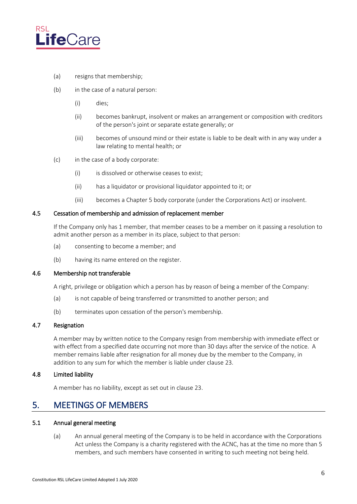

- (a) resigns that membership;
- (b) in the case of a natural person:
	- (i) dies;
	- (ii) becomes bankrupt, insolvent or makes an arrangement or composition with creditors of the person's joint or separate estate generally; or
	- (iii) becomes of unsound mind or their estate is liable to be dealt with in any way under a law relating to mental health; or
- (c) in the case of a body corporate:
	- (i) is dissolved or otherwise ceases to exist;
	- (ii) has a liquidator or provisional liquidator appointed to it; or
	- (iii) becomes a Chapter 5 body corporate (under the Corporations Act) or insolvent.

#### <span id="page-11-0"></span>4.5 Cessation of membership and admission of replacement member

If the Company only has 1 member, that member ceases to be a member on it passing a resolution to admit another person as a member in its place, subject to that person:

- (a) consenting to become a member; and
- (b) having its name entered on the register.

# <span id="page-11-1"></span>4.6 Membership not transferable

A right, privilege or obligation which a person has by reason of being a member of the Company:

- (a) is not capable of being transferred or transmitted to another person; and
- (b) terminates upon cessation of the person's membership.

# <span id="page-11-2"></span>4.7 Resignation

A member may by written notice to the Company resign from membership with immediate effect or with effect from a specified date occurring not more than 30 days after the service of the notice. A member remains liable after resignation for all money due by the member to the Company, in addition to any sum for which the member is liable under clause [23.](#page-36-0)

#### <span id="page-11-3"></span>4.8 Limited liability

A member has no liability, except as set out in claus[e 23.](#page-36-0)

# <span id="page-11-4"></span>5. MEETINGS OF MEMBERS

# <span id="page-11-6"></span><span id="page-11-5"></span>5.1 Annual general meeting

(a) An annual general meeting of the Company is to be held in accordance with the Corporations Act unless the Company is a charity registered with the ACNC, has at the time no more than 5 members, and such members have consented in writing to such meeting not being held.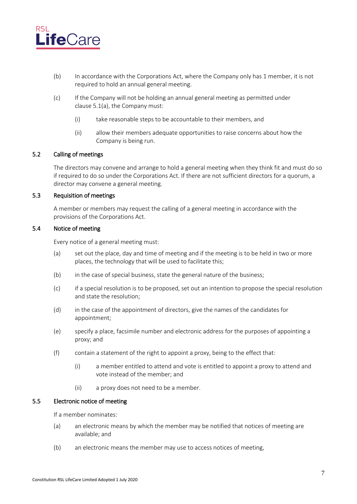

- (b) In accordance with the Corporations Act, where the Company only has 1 member, it is not required to hold an annual general meeting.
- (c) If the Company will not be holding an annual general meeting as permitted under clause [5.1\(a\),](#page-11-6) the Company must:
	- (i) take reasonable steps to be accountable to their members, and
	- (ii) allow their members adequate opportunities to raise concerns about how the Company is being run.

# <span id="page-12-0"></span>5.2 Calling of meetings

The directors may convene and arrange to hold a general meeting when they think fit and must do so if required to do so under the Corporations Act. If there are not sufficient directors for a quorum, a director may convene a general meeting.

### <span id="page-12-1"></span>5.3 Requisition of meetings

A member or members may request the calling of a general meeting in accordance with the provisions of the Corporations Act.

#### <span id="page-12-2"></span>5.4 Notice of meeting

Every notice of a general meeting must:

- (a) set out the place, day and time of meeting and if the meeting is to be held in two or more places, the technology that will be used to facilitate this;
- (b) in the case of special business, state the general nature of the business;
- (c) if a special resolution is to be proposed, set out an intention to propose the special resolution and state the resolution;
- (d) in the case of the appointment of directors, give the names of the candidates for appointment;
- (e) specify a place, facsimile number and electronic address for the purposes of appointing a proxy; and
- (f) contain a statement of the right to appoint a proxy, being to the effect that:
	- (i) a member entitled to attend and vote is entitled to appoint a proxy to attend and vote instead of the member; and
	- (ii) a proxy does not need to be a member.

### <span id="page-12-3"></span>5.5 Electronic notice of meeting

If a member nominates:

- (a) an electronic means by which the member may be notified that notices of meeting are available; and
- (b) an electronic means the member may use to access notices of meeting,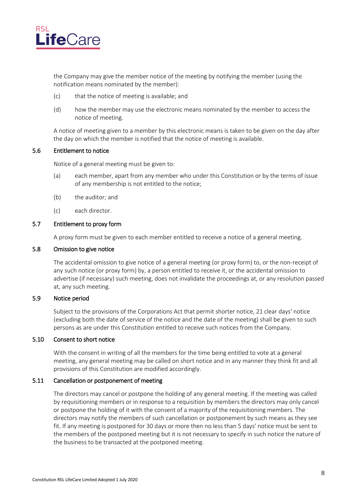

the Company may give the member notice of the meeting by notifying the member (using the notification means nominated by the member):

- (c) that the notice of meeting is available; and
- (d) how the member may use the electronic means nominated by the member to access the notice of meeting.

A notice of meeting given to a member by this electronic means is taken to be given on the day after the day on which the member is notified that the notice of meeting is available.

#### <span id="page-13-0"></span>5.6 Entitlement to notice

Notice of a general meeting must be given to:

- (a) each member, apart from any member who under this Constitution or by the terms of issue of any membership is not entitled to the notice;
- (b) the auditor; and
- (c) each director.

#### <span id="page-13-1"></span>5.7 Entitlement to proxy form

A proxy form must be given to each member entitled to receive a notice of a general meeting.

#### <span id="page-13-2"></span>5.8 Omission to give notice

The accidental omission to give notice of a general meeting (or proxy form) to, or the non-receipt of any such notice (or proxy form) by, a person entitled to receive it, or the accidental omission to advertise (if necessary) such meeting, does not invalidate the proceedings at, or any resolution passed at, any such meeting.

# <span id="page-13-3"></span>5.9 Notice period

Subject to the provisions of the Corporations Act that permit shorter notice, 21 clear days' notice (excluding both the date of service of the notice and the date of the meeting) shall be given to such persons as are under this Constitution entitled to receive such notices from the Company.

### <span id="page-13-4"></span>5.10 Consent to short notice

With the consent in writing of all the members for the time being entitled to vote at a general meeting, any general meeting may be called on short notice and in any manner they think fit and all provisions of this Constitution are modified accordingly.

### <span id="page-13-5"></span>5.11 Cancellation or postponement of meeting

The directors may cancel or postpone the holding of any general meeting. If the meeting was called by requisitioning members or in response to a requisition by members the directors may only cancel or postpone the holding of it with the consent of a majority of the requisitioning members. The directors may notify the members of such cancellation or postponement by such means as they see fit. If any meeting is postponed for 30 days or more then no less than 5 days' notice must be sent to the members of the postponed meeting but it is not necessary to specify in such notice the nature of the business to be transacted at the postponed meeting.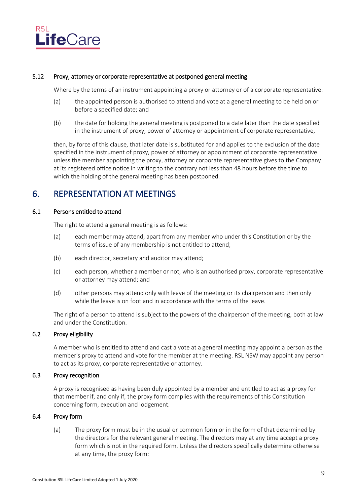

#### <span id="page-14-0"></span>5.12 Proxy, attorney or corporate representative at postponed general meeting

Where by the terms of an instrument appointing a proxy or attorney or of a corporate representative:

- (a) the appointed person is authorised to attend and vote at a general meeting to be held on or before a specified date; and
- (b) the date for holding the general meeting is postponed to a date later than the date specified in the instrument of proxy, power of attorney or appointment of corporate representative,

then, by force of this clause, that later date is substituted for and applies to the exclusion of the date specified in the instrument of proxy, power of attorney or appointment of corporate representative unless the member appointing the proxy, attorney or corporate representative gives to the Company at its registered office notice in writing to the contrary not less than 48 hours before the time to which the holding of the general meeting has been postponed.

# <span id="page-14-1"></span>6. REPRESENTATION AT MEETINGS

# <span id="page-14-2"></span>6.1 Persons entitled to attend

The right to attend a general meeting is as follows:

- (a) each member may attend, apart from any member who under this Constitution or by the terms of issue of any membership is not entitled to attend;
- (b) each director, secretary and auditor may attend;
- (c) each person, whether a member or not, who is an authorised proxy, corporate representative or attorney may attend; and
- (d) other persons may attend only with leave of the meeting or its chairperson and then only while the leave is on foot and in accordance with the terms of the leave.

The right of a person to attend is subject to the powers of the chairperson of the meeting, both at law and under the Constitution.

# <span id="page-14-3"></span>6.2 Proxy eligibility

A member who is entitled to attend and cast a vote at a general meeting may appoint a person as the member's proxy to attend and vote for the member at the meeting. RSL NSW may appoint any person to act as its proxy, corporate representative or attorney.

#### <span id="page-14-4"></span>6.3 Proxy recognition

A proxy is recognised as having been duly appointed by a member and entitled to act as a proxy for that member if, and only if, the proxy form complies with the requirements of this Constitution concerning form, execution and lodgement.

#### <span id="page-14-5"></span>6.4 Proxy form

(a) The proxy form must be in the usual or common form or in the form of that determined by the directors for the relevant general meeting. The directors may at any time accept a proxy form which is not in the required form. Unless the directors specifically determine otherwise at any time, the proxy form: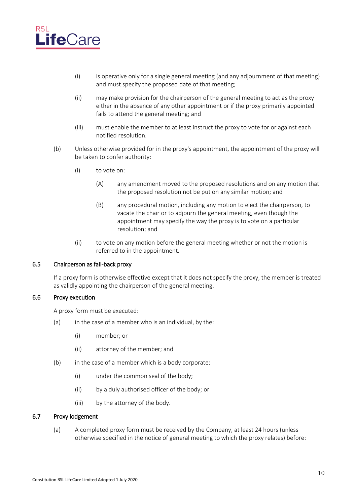

- (i) is operative only for a single general meeting (and any adjournment of that meeting) and must specify the proposed date of that meeting;
- (ii) may make provision for the chairperson of the general meeting to act as the proxy either in the absence of any other appointment or if the proxy primarily appointed fails to attend the general meeting; and
- (iii) must enable the member to at least instruct the proxy to vote for or against each notified resolution.
- (b) Unless otherwise provided for in the proxy's appointment, the appointment of the proxy will be taken to confer authority:
	- (i) to vote on:
		- (A) any amendment moved to the proposed resolutions and on any motion that the proposed resolution not be put on any similar motion; and
		- (B) any procedural motion, including any motion to elect the chairperson, to vacate the chair or to adjourn the general meeting, even though the appointment may specify the way the proxy is to vote on a particular resolution; and
	- (ii) to vote on any motion before the general meeting whether or not the motion is referred to in the appointment.

#### <span id="page-15-0"></span>6.5 Chairperson as fall-back proxy

If a proxy form is otherwise effective except that it does not specify the proxy, the member is treated as validly appointing the chairperson of the general meeting.

#### <span id="page-15-1"></span>6.6 Proxy execution

A proxy form must be executed:

- $(a)$  in the case of a member who is an individual, by the:
	- (i) member; or
	- (ii) attorney of the member; and
- (b) in the case of a member which is a body corporate:
	- (i) under the common seal of the body;
	- (ii) by a duly authorised officer of the body; or
	- (iii) by the attorney of the body.

### <span id="page-15-2"></span>6.7 Proxy lodgement

(a) A completed proxy form must be received by the Company, at least 24 hours (unless otherwise specified in the notice of general meeting to which the proxy relates) before: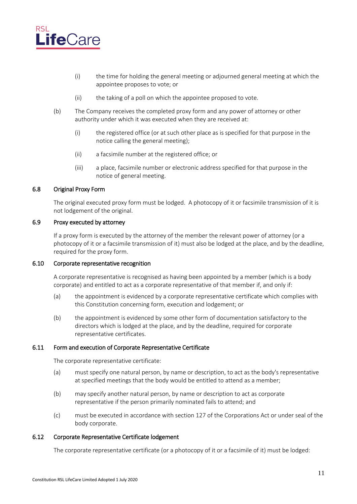

- (i) the time for holding the general meeting or adjourned general meeting at which the appointee proposes to vote; or
- (ii) the taking of a poll on which the appointee proposed to vote.
- (b) The Company receives the completed proxy form and any power of attorney or other authority under which it was executed when they are received at:
	- (i) the registered office (or at such other place as is specified for that purpose in the notice calling the general meeting);
	- (ii) a facsimile number at the registered office; or
	- (iii) a place, facsimile number or electronic address specified for that purpose in the notice of general meeting.

#### <span id="page-16-0"></span>6.8 Original Proxy Form

The original executed proxy form must be lodged. A photocopy of it or facsimile transmission of it is not lodgement of the original.

### <span id="page-16-1"></span>6.9 Proxy executed by attorney

If a proxy form is executed by the attorney of the member the relevant power of attorney (or a photocopy of it or a facsimile transmission of it) must also be lodged at the place, and by the deadline, required for the proxy form.

#### <span id="page-16-2"></span>6.10 Corporate representative recognition

A corporate representative is recognised as having been appointed by a member (which is a body corporate) and entitled to act as a corporate representative of that member if, and only if:

- (a) the appointment is evidenced by a corporate representative certificate which complies with this Constitution concerning form, execution and lodgement; or
- (b) the appointment is evidenced by some other form of documentation satisfactory to the directors which is lodged at the place, and by the deadline, required for corporate representative certificates.

#### <span id="page-16-3"></span>6.11 Form and execution of Corporate Representative Certificate

The corporate representative certificate:

- (a) must specify one natural person, by name or description, to act as the body's representative at specified meetings that the body would be entitled to attend as a member;
- (b) may specify another natural person, by name or description to act as corporate representative if the person primarily nominated fails to attend; and
- (c) must be executed in accordance with section 127 of the Corporations Act or under seal of the body corporate.

### <span id="page-16-4"></span>6.12 Corporate Representative Certificate lodgement

The corporate representative certificate (or a photocopy of it or a facsimile of it) must be lodged: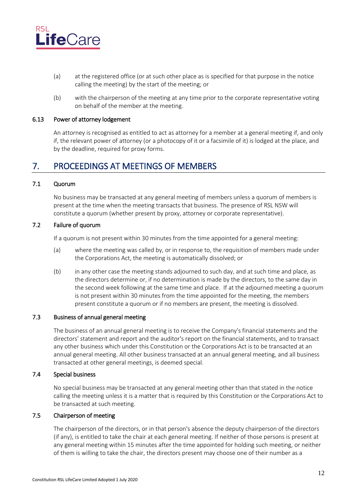

- (a) at the registered office (or at such other place as is specified for that purpose in the notice calling the meeting) by the start of the meeting; or
- (b) with the chairperson of the meeting at any time prior to the corporate representative voting on behalf of the member at the meeting.

#### <span id="page-17-0"></span>6.13 Power of attorney lodgement

An attorney is recognised as entitled to act as attorney for a member at a general meeting if, and only if, the relevant power of attorney (or a photocopy of it or a facsimile of it) is lodged at the place, and by the deadline, required for proxy forms.

# <span id="page-17-1"></span>7. PROCEEDINGS AT MEETINGS OF MEMBERS

### <span id="page-17-2"></span>7.1 Quorum

No business may be transacted at any general meeting of members unless a quorum of members is present at the time when the meeting transacts that business. The presence of RSL NSW will constitute a quorum (whether present by proxy, attorney or corporate representative).

### <span id="page-17-3"></span>7.2 Failure of quorum

If a quorum is not present within 30 minutes from the time appointed for a general meeting:

- (a) where the meeting was called by, or in response to, the requisition of members made under the Corporations Act, the meeting is automatically dissolved; or
- (b) in any other case the meeting stands adjourned to such day, and at such time and place, as the directors determine or, if no determination is made by the directors, to the same day in the second week following at the same time and place. If at the adjourned meeting a quorum is not present within 30 minutes from the time appointed for the meeting, the members present constitute a quorum or if no members are present, the meeting is dissolved.

#### <span id="page-17-4"></span>7.3 Business of annual general meeting

The business of an annual general meeting is to receive the Company's financial statements and the directors' statement and report and the auditor's report on the financial statements, and to transact any other business which under this Constitution or the Corporations Act is to be transacted at an annual general meeting. All other business transacted at an annual general meeting, and all business transacted at other general meetings, is deemed special.

#### <span id="page-17-5"></span>7.4 Special business

No special business may be transacted at any general meeting other than that stated in the notice calling the meeting unless it is a matter that is required by this Constitution or the Corporations Act to be transacted at such meeting.

# <span id="page-17-6"></span>7.5 Chairperson of meeting

The chairperson of the directors, or in that person's absence the deputy chairperson of the directors (if any), is entitled to take the chair at each general meeting. If neither of those persons is present at any general meeting within 15 minutes after the time appointed for holding such meeting, or neither of them is willing to take the chair, the directors present may choose one of their number as a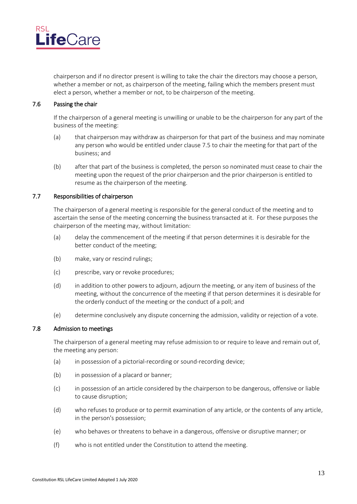

chairperson and if no director present is willing to take the chair the directors may choose a person, whether a member or not, as chairperson of the meeting, failing which the members present must elect a person, whether a member or not, to be chairperson of the meeting.

#### <span id="page-18-0"></span>7.6 Passing the chair

If the chairperson of a general meeting is unwilling or unable to be the chairperson for any part of the business of the meeting:

- (a) that chairperson may withdraw as chairperson for that part of the business and may nominate any person who would be entitled under clause [7.5](#page-17-6) to chair the meeting for that part of the business; and
- (b) after that part of the business is completed, the person so nominated must cease to chair the meeting upon the request of the prior chairperson and the prior chairperson is entitled to resume as the chairperson of the meeting.

#### <span id="page-18-1"></span>7.7 Responsibilities of chairperson

The chairperson of a general meeting is responsible for the general conduct of the meeting and to ascertain the sense of the meeting concerning the business transacted at it. For these purposes the chairperson of the meeting may, without limitation:

- (a) delay the commencement of the meeting if that person determines it is desirable for the better conduct of the meeting;
- (b) make, vary or rescind rulings;
- (c) prescribe, vary or revoke procedures;
- (d) in addition to other powers to adjourn, adjourn the meeting, or any item of business of the meeting, without the concurrence of the meeting if that person determines it is desirable for the orderly conduct of the meeting or the conduct of a poll; and
- (e) determine conclusively any dispute concerning the admission, validity or rejection of a vote.

#### <span id="page-18-2"></span>7.8 Admission to meetings

The chairperson of a general meeting may refuse admission to or require to leave and remain out of, the meeting any person:

- (a) in possession of a pictorial-recording or sound-recording device;
- (b) in possession of a placard or banner;
- (c) in possession of an article considered by the chairperson to be dangerous, offensive or liable to cause disruption;
- (d) who refuses to produce or to permit examination of any article, or the contents of any article, in the person's possession;
- (e) who behaves or threatens to behave in a dangerous, offensive or disruptive manner; or
- (f) who is not entitled under the Constitution to attend the meeting.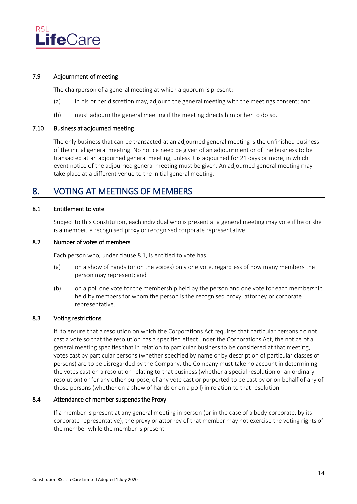

### <span id="page-19-0"></span>7.9 Adjournment of meeting

The chairperson of a general meeting at which a quorum is present:

- (a) in his or her discretion may, adjourn the general meeting with the meetings consent; and
- (b) must adjourn the general meeting if the meeting directs him or her to do so.

# <span id="page-19-1"></span>7.10 Business at adjourned meeting

The only business that can be transacted at an adjourned general meeting is the unfinished business of the initial general meeting. No notice need be given of an adjournment or of the business to be transacted at an adjourned general meeting, unless it is adjourned for 21 days or more, in which event notice of the adjourned general meeting must be given. An adjourned general meeting may take place at a different venue to the initial general meeting.

# <span id="page-19-2"></span>8. VOTING AT MEETINGS OF MEMBERS

#### <span id="page-19-3"></span>8.1 Entitlement to vote

Subject to this Constitution, each individual who is present at a general meeting may vote if he or she is a member, a recognised proxy or recognised corporate representative.

# <span id="page-19-4"></span>8.2 Number of votes of members

Each person who, under clause [8.1,](#page-19-3) is entitled to vote has:

- (a) on a show of hands (or on the voices) only one vote, regardless of how many members the person may represent; and
- (b) on a poll one vote for the membership held by the person and one vote for each membership held by members for whom the person is the recognised proxy, attorney or corporate representative.

# <span id="page-19-5"></span>8.3 Voting restrictions

If, to ensure that a resolution on which the Corporations Act requires that particular persons do not cast a vote so that the resolution has a specified effect under the Corporations Act, the notice of a general meeting specifies that in relation to particular business to be considered at that meeting, votes cast by particular persons (whether specified by name or by description of particular classes of persons) are to be disregarded by the Company, the Company must take no account in determining the votes cast on a resolution relating to that business (whether a special resolution or an ordinary resolution) or for any other purpose, of any vote cast or purported to be cast by or on behalf of any of those persons (whether on a show of hands or on a poll) in relation to that resolution.

#### <span id="page-19-6"></span>8.4 Attendance of member suspends the Proxy

If a member is present at any general meeting in person (or in the case of a body corporate, by its corporate representative), the proxy or attorney of that member may not exercise the voting rights of the member while the member is present.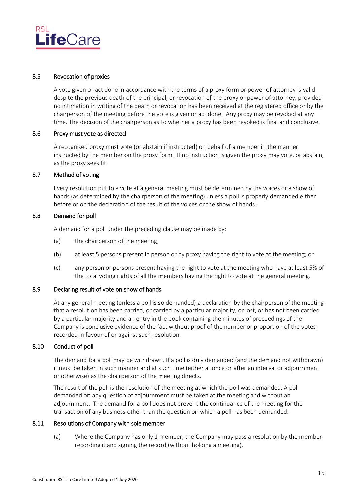

### <span id="page-20-0"></span>8.5 Revocation of proxies

A vote given or act done in accordance with the terms of a proxy form or power of attorney is valid despite the previous death of the principal, or revocation of the proxy or power of attorney, provided no intimation in writing of the death or revocation has been received at the registered office or by the chairperson of the meeting before the vote is given or act done. Any proxy may be revoked at any time. The decision of the chairperson as to whether a proxy has been revoked is final and conclusive.

#### <span id="page-20-1"></span>8.6 Proxy must vote as directed

A recognised proxy must vote (or abstain if instructed) on behalf of a member in the manner instructed by the member on the proxy form. If no instruction is given the proxy may vote, or abstain, as the proxy sees fit.

### <span id="page-20-2"></span>8.7 Method of voting

Every resolution put to a vote at a general meeting must be determined by the voices or a show of hands (as determined by the chairperson of the meeting) unless a poll is properly demanded either before or on the declaration of the result of the voices or the show of hands.

### <span id="page-20-3"></span>8.8 Demand for poll

A demand for a poll under the preceding clause may be made by:

- (a) the chairperson of the meeting;
- (b) at least 5 persons present in person or by proxy having the right to vote at the meeting; or
- (c) any person or persons present having the right to vote at the meeting who have at least 5% of the total voting rights of all the members having the right to vote at the general meeting.

### <span id="page-20-4"></span>8.9 Declaring result of vote on show of hands

At any general meeting (unless a poll is so demanded) a declaration by the chairperson of the meeting that a resolution has been carried, or carried by a particular majority, or lost, or has not been carried by a particular majority and an entry in the book containing the minutes of proceedings of the Company is conclusive evidence of the fact without proof of the number or proportion of the votes recorded in favour of or against such resolution.

# <span id="page-20-5"></span>8.10 Conduct of poll

The demand for a poll may be withdrawn. If a poll is duly demanded (and the demand not withdrawn) it must be taken in such manner and at such time (either at once or after an interval or adjournment or otherwise) as the chairperson of the meeting directs.

The result of the poll is the resolution of the meeting at which the poll was demanded. A poll demanded on any question of adjournment must be taken at the meeting and without an adjournment. The demand for a poll does not prevent the continuance of the meeting for the transaction of any business other than the question on which a poll has been demanded.

### <span id="page-20-6"></span>8.11 Resolutions of Company with sole member

(a) Where the Company has only 1 member, the Company may pass a resolution by the member recording it and signing the record (without holding a meeting).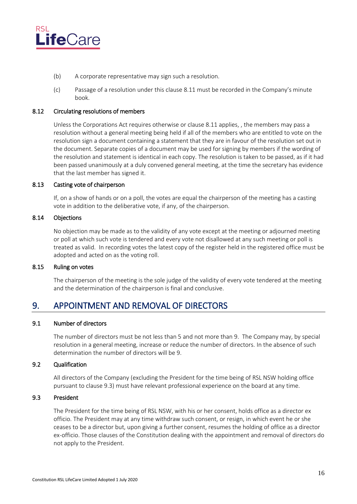

- (b) A corporate representative may sign such a resolution.
- (c) Passage of a resolution under this clause [8.11](#page-20-6) must be recorded in the Company's minute book.

#### <span id="page-21-0"></span>8.12 Circulating resolutions of members

Unless the Corporations Act requires otherwise or clause 8.11 applies, , the members may pass a resolution without a general meeting being held if all of the members who are entitled to vote on the resolution sign a document containing a statement that they are in favour of the resolution set out in the document. Separate copies of a document may be used for signing by members if the wording of the resolution and statement is identical in each copy. The resolution is taken to be passed, as if it had been passed unanimously at a duly convened general meeting, at the time the secretary has evidence that the last member has signed it.

#### <span id="page-21-1"></span>8.13 Casting vote of chairperson

If, on a show of hands or on a poll, the votes are equal the chairperson of the meeting has a casting vote in addition to the deliberative vote, if any, of the chairperson.

#### <span id="page-21-2"></span>8.14 Objections

No objection may be made as to the validity of any vote except at the meeting or adjourned meeting or poll at which such vote is tendered and every vote not disallowed at any such meeting or poll is treated as valid. In recording votes the latest copy of the register held in the registered office must be adopted and acted on as the voting roll.

#### <span id="page-21-3"></span>8.15 Ruling on votes

The chairperson of the meeting is the sole judge of the validity of every vote tendered at the meeting and the determination of the chairperson is final and conclusive.

# <span id="page-21-4"></span>9. APPOINTMENT AND REMOVAL OF DIRECTORS

#### <span id="page-21-5"></span>9.1 Number of directors

The number of directors must be not less than 5 and not more than 9. The Company may, by special resolution in a general meeting, increase or reduce the number of directors. In the absence of such determination the number of directors will be 9.

### <span id="page-21-6"></span>9.2 Qualification

All directors of the Company (excluding the President for the time being of RSL NSW holding office pursuant to clause 9.3) must have relevant professional experience on the board at any time.

### <span id="page-21-7"></span>9.3 President

The President for the time being of RSL NSW, with his or her consent, holds office as a director ex officio. The President may at any time withdraw such consent, or resign, in which event he or she ceases to be a director but, upon giving a further consent, resumes the holding of office as a director ex-officio. Those clauses of the Constitution dealing with the appointment and removal of directors do not apply to the President.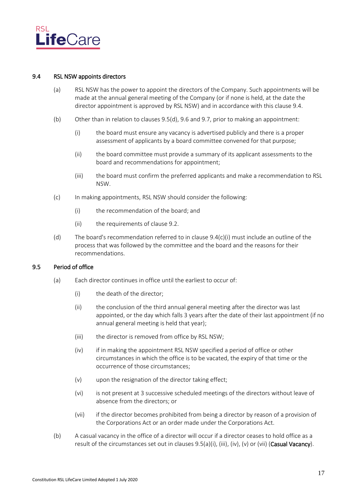

#### <span id="page-22-0"></span>9.4 RSL NSW appoints directors

- (a) RSL NSW has the power to appoint the directors of the Company. Such appointments will be made at the annual general meeting of the Company (or if none is held, at the date the director appointment is approved by RSL NSW) and in accordance with this clause 9.4.
- <span id="page-22-10"></span>(b) Other than in relation to clause[s 9.5\(d\),](#page-23-1) [9.6](#page-23-0) and [9.7,](#page-24-0) prior to making an appointment:
	- (i) the board must ensure any vacancy is advertised publicly and there is a proper assessment of applicants by a board committee convened for that purpose;
	- (ii) the board committee must provide a summary of its applicant assessments to the board and recommendations for appointment;
	- (iii) the board must confirm the preferred applicants and make a recommendation to RSL NSW.
- <span id="page-22-11"></span><span id="page-22-2"></span>(c) In making appointments, RSL NSW should consider the following:
	- (i) the recommendation of the board; and
	- (ii) the requirements of clause [9.2.](#page-21-6)
- <span id="page-22-12"></span>(d) The board's recommendation referred to in clause [9.4\(c\)\(i\)](#page-22-2) must include an outline of the process that was followed by the committee and the board and the reasons for their recommendations.

# 9.5 Period of office

- <span id="page-22-8"></span><span id="page-22-5"></span><span id="page-22-4"></span><span id="page-22-3"></span><span id="page-22-1"></span>(a) Each director continues in office until the earliest to occur of:
	- (i) the death of the director;
	- (ii) the conclusion of the third annual general meeting after the director was last appointed, or the day which falls 3 years after the date of their last appointment (if no annual general meeting is held that year);
	- (iii) the director is removed from office by RSL NSW;
	- (iv) if in making the appointment RSL NSW specified a period of office or other circumstances in which the office is to be vacated, the expiry of that time or the occurrence of those circumstances;
	- (v) upon the resignation of the director taking effect;
	- (vi) is not present at 3 successive scheduled meetings of the directors without leave of absence from the directors; or
	- (vii) if the director becomes prohibited from being a director by reason of a provision of the Corporations Act or an order made under the Corporations Act.
- <span id="page-22-9"></span><span id="page-22-7"></span><span id="page-22-6"></span>(b) A casual vacancy in the office of a director will occur if a director ceases to hold office as a result of the circumstances set out in clauses [9.5\(a\)\(i\),](#page-22-3) [\(iii\),](#page-22-4) [\(iv\),](#page-22-5) [\(v\)](#page-22-6) or [\(vii\)](#page-22-7) (Casual Vacancy).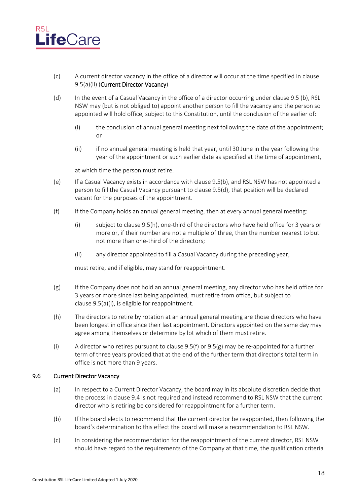

- (c) A current director vacancy in the office of a director will occur at the time specified in clause [9.5\(a\)\(ii\)](#page-22-8) (Current Director Vacancy).
- <span id="page-23-1"></span>(d) In the event of a Casual Vacancy in the office of a director occurring under clause 9.5 [\(b\),](#page-22-9) RSL NSW may (but is not obliged to) appoint another person to fill the vacancy and the person so appointed will hold office, subject to this Constitution, until the conclusion of the earlier of:
	- (i) the conclusion of annual general meeting next following the date of the appointment; or
	- (ii) if no annual general meeting is held that year, until 30 June in the year following the year of the appointment or such earlier date as specified at the time of appointment,

at which time the person must retire.

- (e) If a Casual Vacancy exists in accordance with clause 9.[5\(b\),](#page-22-9) and RSL NSW has not appointed a person to fill the Casual Vacancy pursuant to clause 9.[5\(d\),](#page-23-1) that position will be declared vacant for the purposes of the appointment.
- (f) If the Company holds an annual general meeting, then at every annual general meeting:
	- (i) subject to clause 9.5(h), one-third of the directors who have held office for 3 years or more or, if their number are not a multiple of three, then the number nearest to but not more than one-third of the directors;
	- (ii) any director appointed to fill a Casual Vacancy during the preceding year,

must retire, and if eligible, may stand for reappointment.

- <span id="page-23-2"></span>(g) If the Company does not hold an annual general meeting, any director who has held office for 3 years or more since last being appointed, must retire from office, but subject to clause [9.5\(a\)\(i\),](#page-22-3) is eligible for reappointment.
- (h) The directors to retire by rotation at an annual general meeting are those directors who have been longest in office since their last appointment. Directors appointed on the same day may agree among themselves or determine by lot which of them must retire.
- (i) A director who retires pursuant to clause  $9.5(f)$  or  $9.5(g)$  may be re-appointed for a further term of three years provided that at the end of the further term that director's total term in office is not more than 9 years.

### <span id="page-23-0"></span>9.6 Current Director Vacancy

- (a) In respect to a Current Director Vacancy, the board may in its absolute discretion decide that the process in clause [9.4](#page-22-0) is not required and instead recommend to RSL NSW that the current director who is retiring be considered for reappointment for a further term.
- (b) If the board elects to recommend that the current director be reappointed, then following the board's determination to this effect the board will make a recommendation to RSL NSW.
- (c) In considering the recommendation for the reappointment of the current director, RSL NSW should have regard to the requirements of the Company at that time, the qualification criteria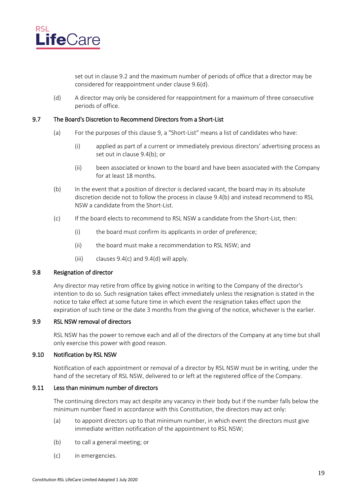

set out in clause [9.2](#page-21-6) and the maximum number of periods of office that a director may be considered for reappointment under clause [9.6\(d\).](#page-24-5)

(d) A director may only be considered for reappointment for a maximum of three consecutive periods of office.

#### <span id="page-24-5"></span><span id="page-24-0"></span>9.7 The Board's Discretion to Recommend Directors from a Short-List

- (a) For the purposes of this claus[e 9,](#page-21-4) a "Short-List" means a list of candidates who have:
	- (i) applied as part of a current or immediately previous directors' advertising process as set out in claus[e 9.4\(b\);](#page-22-10) or
	- (ii) been associated or known to the board and have been associated with the Company for at least 18 months.
- (b) In the event that a position of director is declared vacant, the board may in its absolute discretion decide not to follow the process in claus[e 9.4\(b\)](#page-22-10) and instead recommend to RSL NSW a candidate from the Short-List.
- (c) If the board elects to recommend to RSL NSW a candidate from the Short-List, then:
	- (i) the board must confirm its applicants in order of preference;
	- (ii) the board must make a recommendation to RSL NSW; and
	- (iii) clauses  $9.4(c)$  and  $9.4(d)$  will apply.

#### <span id="page-24-1"></span>9.8 Resignation of director

Any director may retire from office by giving notice in writing to the Company of the director's intention to do so. Such resignation takes effect immediately unless the resignation is stated in the notice to take effect at some future time in which event the resignation takes effect upon the expiration of such time or the date 3 months from the giving of the notice, whichever is the earlier.

# <span id="page-24-2"></span>9.9 RSL NSW removal of directors

RSL NSW has the power to remove each and all of the directors of the Company at any time but shall only exercise this power with good reason.

#### <span id="page-24-3"></span>9.10 Notification by RSL NSW

Notification of each appointment or removal of a director by RSL NSW must be in writing, under the hand of the secretary of RSL NSW, delivered to or left at the registered office of the Company.

### <span id="page-24-4"></span>9.11 Less than minimum number of directors

The continuing directors may act despite any vacancy in their body but if the number falls below the minimum number fixed in accordance with this Constitution, the directors may act only:

- (a) to appoint directors up to that minimum number, in which event the directors must give immediate written notification of the appointment to RSL NSW;
- (b) to call a general meeting; or
- (c) in emergencies.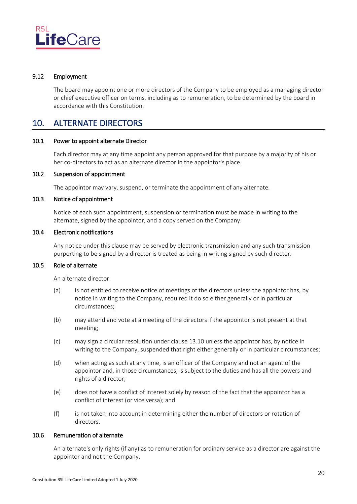

#### <span id="page-25-0"></span>9.12 Employment

The board may appoint one or more directors of the Company to be employed as a managing director or chief executive officer on terms, including as to remuneration, to be determined by the board in accordance with this Constitution.

# <span id="page-25-1"></span>10. ALTERNATE DIRECTORS

#### <span id="page-25-2"></span>10.1 Power to appoint alternate Director

Each director may at any time appoint any person approved for that purpose by a majority of his or her co-directors to act as an alternate director in the appointor's place.

### <span id="page-25-3"></span>10.2 Suspension of appointment

The appointor may vary, suspend, or terminate the appointment of any alternate.

#### <span id="page-25-4"></span>10.3 Notice of appointment

Notice of each such appointment, suspension or termination must be made in writing to the alternate, signed by the appointor, and a copy served on the Company.

# <span id="page-25-5"></span>10.4 Electronic notifications

Any notice under this clause may be served by electronic transmission and any such transmission purporting to be signed by a director is treated as being in writing signed by such director.

# <span id="page-25-6"></span>10.5 Role of alternate

An alternate director:

- (a) is not entitled to receive notice of meetings of the directors unless the appointor has, by notice in writing to the Company, required it do so either generally or in particular circumstances;
- (b) may attend and vote at a meeting of the directors if the appointor is not present at that meeting;
- (c) may sign a circular resolution under clause [13.10](#page-29-2) unless the appointor has, by notice in writing to the Company, suspended that right either generally or in particular circumstances;
- (d) when acting as such at any time, is an officer of the Company and not an agent of the appointor and, in those circumstances, is subject to the duties and has all the powers and rights of a director;
- (e) does not have a conflict of interest solely by reason of the fact that the appointor has a conflict of interest (or vice versa); and
- (f) is not taken into account in determining either the number of directors or rotation of directors.

#### <span id="page-25-7"></span>10.6 Remuneration of alternate

An alternate's only rights (if any) as to remuneration for ordinary service as a director are against the appointor and not the Company.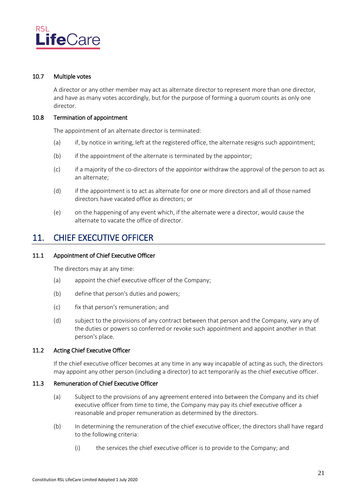

### <span id="page-26-0"></span>10.7 Multiple votes

A director or any other member may act as alternate director to represent more than one director, and have as many votes accordingly, but for the purpose of forming a quorum counts as only one director.

#### <span id="page-26-1"></span>10.8 Termination of appointment

The appointment of an alternate director is terminated:

- (a) if, by notice in writing, left at the registered office, the alternate resigns such appointment;
- (b) if the appointment of the alternate is terminated by the appointor;
- (c) if a majority of the co-directors of the appointor withdraw the approval of the person to act as an alternate;
- (d) if the appointment is to act as alternate for one or more directors and all of those named directors have vacated office as directors; or
- (e) on the happening of any event which, if the alternate were a director, would cause the alternate to vacate the office of director.

# <span id="page-26-2"></span>11. CHIEF EXECUTIVE OFFICER

#### <span id="page-26-3"></span>11.1 Appointment of Chief Executive Officer

The directors may at any time:

- (a) appoint the chief executive officer of the Company;
- (b) define that person's duties and powers;
- (c) fix that person's remuneration; and
- (d) subject to the provisions of any contract between that person and the Company, vary any of the duties or powers so conferred or revoke such appointment and appoint another in that person's place.

# <span id="page-26-4"></span>11.2 Acting Chief Executive Officer

If the chief executive officer becomes at any time in any way incapable of acting as such, the directors may appoint any other person (including a director) to act temporarily as the chief executive officer.

#### <span id="page-26-5"></span>11.3 Remuneration of Chief Executive Officer

- (a) Subject to the provisions of any agreement entered into between the Company and its chief executive officer from time to time, the Company may pay its chief executive officer a reasonable and proper remuneration as determined by the directors.
- (b) In determining the remuneration of the chief executive officer, the directors shall have regard to the following criteria:
	- (i) the services the chief executive officer is to provide to the Company; and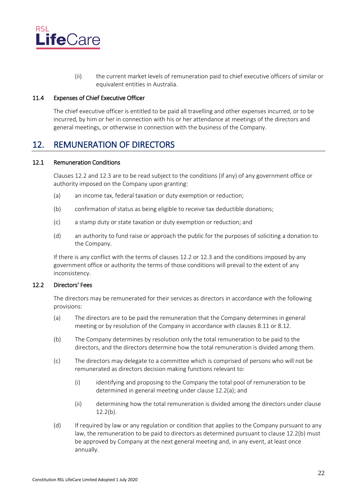

(ii) the current market levels of remuneration paid to chief executive officers of similar or equivalent entities in Australia.

### <span id="page-27-0"></span>11.4 Expenses of Chief Executive Officer

The chief executive officer is entitled to be paid all travelling and other expenses incurred, or to be incurred, by him or her in connection with his or her attendance at meetings of the directors and general meetings, or otherwise in connection with the business of the Company.

# <span id="page-27-1"></span>12. REMUNERATION OF DIRECTORS

#### <span id="page-27-2"></span>12.1 Remuneration Conditions

Clauses [12.2](#page-27-3) and [12.3](#page-28-0) are to be read subject to the conditions (if any) of any government office or authority imposed on the Company upon granting:

- (a) an income tax, federal taxation or duty exemption or reduction;
- (b) confirmation of status as being eligible to receive tax deductible donations;
- (c) a stamp duty or state taxation or duty exemption or reduction; and
- (d) an authority to fund raise or approach the public for the purposes of soliciting a donation to the Company.

If there is any conflict with the terms of clauses [12.2](#page-27-3) or [12.3](#page-28-0) and the conditions imposed by any government office or authority the terms of those conditions will prevail to the extent of any inconsistency.

### <span id="page-27-3"></span>12.2 Directors' Fees

The directors may be remunerated for their services as directors in accordance with the following provisions:

- <span id="page-27-4"></span>(a) The directors are to be paid the remuneration that the Company determines in general meeting or by resolution of the Company in accordance with clauses [8.11](#page-20-6) or 8.12.
- <span id="page-27-5"></span>(b) The Company determines by resolution only the total remuneration to be paid to the directors, and the directors determine how the total remuneration is divided among them.
- (c) The directors may delegate to a committee which is comprised of persons who will not be remunerated as directors decision making functions relevant to:
	- (i) identifying and proposing to the Company the total pool of remuneration to be determined in general meeting under clause [12.2\(a\);](#page-27-4) and
	- (ii) determining how the total remuneration is divided among the directors under clause  $12.2(b)$ .
- (d) If required by law or any regulation or condition that applies to the Company pursuant to any law, the remuneration to be paid to directors as determined pursuant to claus[e 12.2\(b\)](#page-27-5) must be approved by Company at the next general meeting and, in any event, at least once annually.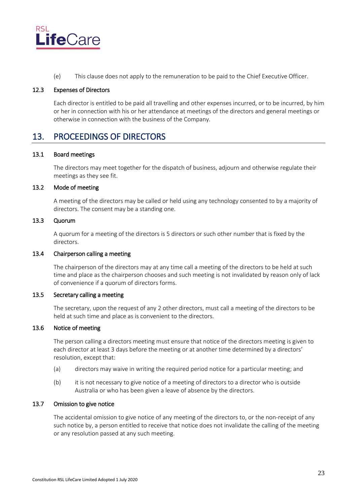

(e) This clause does not apply to the remuneration to be paid to the Chief Executive Officer.

# <span id="page-28-0"></span>12.3 Expenses of Directors

Each director is entitled to be paid all travelling and other expenses incurred, or to be incurred, by him or her in connection with his or her attendance at meetings of the directors and general meetings or otherwise in connection with the business of the Company.

# <span id="page-28-1"></span>13. PROCEEDINGS OF DIRECTORS

### <span id="page-28-2"></span>13.1 Board meetings

The directors may meet together for the dispatch of business, adjourn and otherwise regulate their meetings as they see fit.

# <span id="page-28-3"></span>13.2 Mode of meeting

A meeting of the directors may be called or held using any technology consented to by a majority of directors. The consent may be a standing one.

# <span id="page-28-4"></span>13.3 Quorum

A quorum for a meeting of the directors is 5 directors or such other number that is fixed by the directors.

### <span id="page-28-5"></span>13.4 Chairperson calling a meeting

The chairperson of the directors may at any time call a meeting of the directors to be held at such time and place as the chairperson chooses and such meeting is not invalidated by reason only of lack of convenience if a quorum of directors forms.

### <span id="page-28-6"></span>13.5 Secretary calling a meeting

The secretary, upon the request of any 2 other directors, must call a meeting of the directors to be held at such time and place as is convenient to the directors.

### <span id="page-28-7"></span>13.6 Notice of meeting

The person calling a directors meeting must ensure that notice of the directors meeting is given to each director at least 3 days before the meeting or at another time determined by a directors' resolution, except that:

- (a) directors may waive in writing the required period notice for a particular meeting; and
- (b) it is not necessary to give notice of a meeting of directors to a director who is outside Australia or who has been given a leave of absence by the directors.

### <span id="page-28-8"></span>13.7 Omission to give notice

The accidental omission to give notice of any meeting of the directors to, or the non-receipt of any such notice by, a person entitled to receive that notice does not invalidate the calling of the meeting or any resolution passed at any such meeting.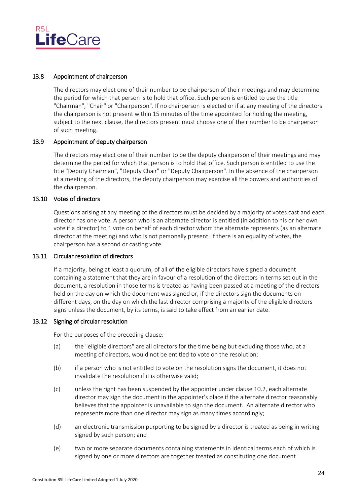

### <span id="page-29-0"></span>13.8 Appointment of chairperson

The directors may elect one of their number to be chairperson of their meetings and may determine the period for which that person is to hold that office. Such person is entitled to use the title "Chairman", "Chair" or "Chairperson". If no chairperson is elected or if at any meeting of the directors the chairperson is not present within 15 minutes of the time appointed for holding the meeting, subject to the next clause, the directors present must choose one of their number to be chairperson of such meeting.

#### <span id="page-29-1"></span>13.9 Appointment of deputy chairperson

The directors may elect one of their number to be the deputy chairperson of their meetings and may determine the period for which that person is to hold that office. Such person is entitled to use the title "Deputy Chairman", "Deputy Chair" or "Deputy Chairperson". In the absence of the chairperson at a meeting of the directors, the deputy chairperson may exercise all the powers and authorities of the chairperson.

### <span id="page-29-2"></span>13.10 Votes of directors

Questions arising at any meeting of the directors must be decided by a majority of votes cast and each director has one vote. A person who is an alternate director is entitled (in addition to his or her own vote if a director) to 1 vote on behalf of each director whom the alternate represents (as an alternate director at the meeting) and who is not personally present. If there is an equality of votes, the chairperson has a second or casting vote.

#### <span id="page-29-3"></span>13.11 Circular resolution of directors

If a majority, being at least a quorum, of all of the eligible directors have signed a document containing a statement that they are in favour of a resolution of the directors in terms set out in the document, a resolution in those terms is treated as having been passed at a meeting of the directors held on the day on which the document was signed or, if the directors sign the documents on different days, on the day on which the last director comprising a majority of the eligible directors signs unless the document, by its terms, is said to take effect from an earlier date.

#### <span id="page-29-4"></span>13.12 Signing of circular resolution

For the purposes of the preceding clause:

- (a) the "eligible directors" are all directors for the time being but excluding those who, at a meeting of directors, would not be entitled to vote on the resolution;
- (b) if a person who is not entitled to vote on the resolution signs the document, it does not invalidate the resolution if it is otherwise valid;
- (c) unless the right has been suspended by the appointer under claus[e 10.2,](#page-25-3) each alternate director may sign the document in the appointer's place if the alternate director reasonably believes that the appointer is unavailable to sign the document. An alternate director who represents more than one director may sign as many times accordingly;
- (d) an electronic transmission purporting to be signed by a director is treated as being in writing signed by such person; and
- (e) two or more separate documents containing statements in identical terms each of which is signed by one or more directors are together treated as constituting one document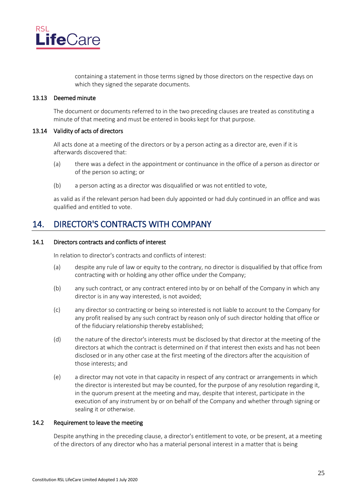

containing a statement in those terms signed by those directors on the respective days on which they signed the separate documents.

#### <span id="page-30-0"></span>13.13 Deemed minute

The document or documents referred to in the two preceding clauses are treated as constituting a minute of that meeting and must be entered in books kept for that purpose.

#### <span id="page-30-1"></span>13.14 Validity of acts of directors

All acts done at a meeting of the directors or by a person acting as a director are, even if it is afterwards discovered that:

- (a) there was a defect in the appointment or continuance in the office of a person as director or of the person so acting; or
- (b) a person acting as a director was disqualified or was not entitled to vote,

as valid as if the relevant person had been duly appointed or had duly continued in an office and was qualified and entitled to vote.

# <span id="page-30-2"></span>14. DIRECTOR'S CONTRACTS WITH COMPANY

#### <span id="page-30-3"></span>14.1 Directors contracts and conflicts of interest

In relation to director's contracts and conflicts of interest:

- (a) despite any rule of law or equity to the contrary, no director is disqualified by that office from contracting with or holding any other office under the Company;
- (b) any such contract, or any contract entered into by or on behalf of the Company in which any director is in any way interested, is not avoided;
- (c) any director so contracting or being so interested is not liable to account to the Company for any profit realised by any such contract by reason only of such director holding that office or of the fiduciary relationship thereby established;
- (d) the nature of the director's interests must be disclosed by that director at the meeting of the directors at which the contract is determined on if that interest then exists and has not been disclosed or in any other case at the first meeting of the directors after the acquisition of those interests; and
- (e) a director may not vote in that capacity in respect of any contract or arrangements in which the director is interested but may be counted, for the purpose of any resolution regarding it, in the quorum present at the meeting and may, despite that interest, participate in the execution of any instrument by or on behalf of the Company and whether through signing or sealing it or otherwise.

# <span id="page-30-4"></span>14.2 Requirement to leave the meeting

Despite anything in the preceding clause, a director's entitlement to vote, or be present, at a meeting of the directors of any director who has a material personal interest in a matter that is being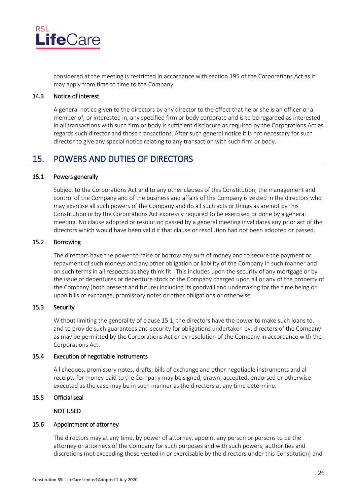

considered at the meeting is restricted in accordance with section 195 of the Corporations Act as it may apply from time to time to the Company.

### <span id="page-31-0"></span>14.3 Notice of interest

A general notice given to the directors by any director to the effect that he or she is an officer or a member of, or interested in, any specified firm or body corporate and is to be regarded as interested in all transactions with such firm or body is sufficient disclosure as required by the Corporations Act as regards such director and those transactions. After such general notice it is not necessary for such director to give any special notice relating to any transaction with such firm or body.

# <span id="page-31-1"></span>15. POWERS AND DUTIES OF DIRECTORS

### <span id="page-31-2"></span>15.1 Powers generally

Subject to the Corporations Act and to any other clauses of this Constitution, the management and control of the Company and of the business and affairs of the Company is vested in the directors who may exercise all such powers of the Company and do all such acts or things as are not by this Constitution or by the Corporations Act expressly required to be exercised or done by a general meeting. No clause adopted or resolution passed by a general meeting invalidates any prior act of the directors which would have been valid if that clause or resolution had not been adopted or passed.

# <span id="page-31-3"></span>15.2 Borrowing

The directors have the power to raise or borrow any sum of money and to secure the payment or repayment of such moneys and any other obligation or liability of the Company in such manner and on such terms in all respects as they think fit. This includes upon the security of any mortgage or by the issue of debentures or debenture stock of the Company charged upon all or any of the property of the Company (both present and future) including its goodwill and undertaking for the time being or upon bills of exchange, promissory notes or other obligations or otherwise.

# <span id="page-31-4"></span>15.3 Security

Without limiting the generality of clause [15.1,](#page-31-2) the directors have the power to make such loans to, and to provide such guarantees and security for obligations undertaken by, directors of the Company as may be permitted by the Corporations Act or by resolution of the Company in accordance with the Corporations Act.

#### <span id="page-31-5"></span>15.4 Execution of negotiable instruments

All cheques, promissory notes, drafts, bills of exchange and other negotiable instruments and all receipts for money paid to the Company may be signed, drawn, accepted, endorsed or otherwise executed as the case may be in such manner as the directors at any time determine.

#### <span id="page-31-7"></span><span id="page-31-6"></span>15.5 Official seal

#### NOT USED

#### <span id="page-31-8"></span>15.6 Appointment of attorney

The directors may at any time, by power of attorney, appoint any person or persons to be the attorney or attorneys of the Company for such purposes and with such powers, authorities and discretions (not exceeding those vested in or exercisable by the directors under this Constitution) and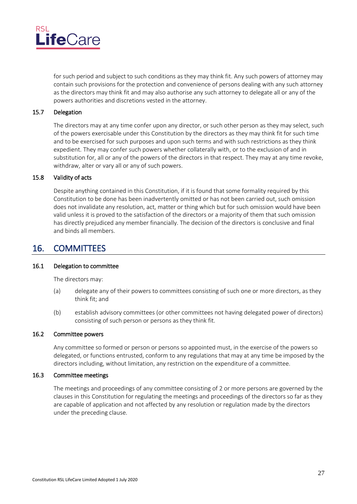

for such period and subject to such conditions as they may think fit. Any such powers of attorney may contain such provisions for the protection and convenience of persons dealing with any such attorney as the directors may think fit and may also authorise any such attorney to delegate all or any of the powers authorities and discretions vested in the attorney.

#### <span id="page-32-0"></span>15.7 Delegation

The directors may at any time confer upon any director, or such other person as they may select, such of the powers exercisable under this Constitution by the directors as they may think fit for such time and to be exercised for such purposes and upon such terms and with such restrictions as they think expedient. They may confer such powers whether collaterally with, or to the exclusion of and in substitution for, all or any of the powers of the directors in that respect. They may at any time revoke, withdraw, alter or vary all or any of such powers.

#### <span id="page-32-1"></span>15.8 Validity of acts

Despite anything contained in this Constitution, if it is found that some formality required by this Constitution to be done has been inadvertently omitted or has not been carried out, such omission does not invalidate any resolution, act, matter or thing which but for such omission would have been valid unless it is proved to the satisfaction of the directors or a majority of them that such omission has directly prejudiced any member financially. The decision of the directors is conclusive and final and binds all members.

# <span id="page-32-2"></span>16. COMMITTEES

# <span id="page-32-3"></span>16.1 Delegation to committee

The directors may:

- (a) delegate any of their powers to committees consisting of such one or more directors, as they think fit; and
- (b) establish advisory committees (or other committees not having delegated power of directors) consisting of such person or persons as they think fit.

# <span id="page-32-4"></span>16.2 Committee powers

Any committee so formed or person or persons so appointed must, in the exercise of the powers so delegated, or functions entrusted, conform to any regulations that may at any time be imposed by the directors including, without limitation, any restriction on the expenditure of a committee.

#### <span id="page-32-5"></span>16.3 Committee meetings

The meetings and proceedings of any committee consisting of 2 or more persons are governed by the clauses in this Constitution for regulating the meetings and proceedings of the directors so far as they are capable of application and not affected by any resolution or regulation made by the directors under the preceding clause.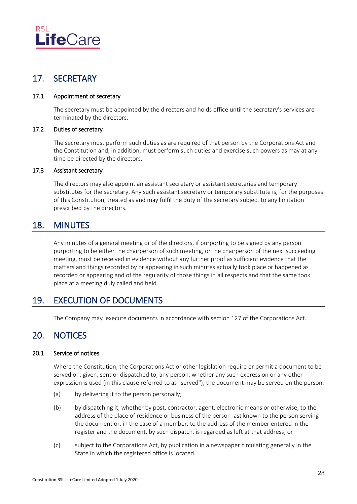

# <span id="page-33-0"></span>17. SECRETARY

# <span id="page-33-1"></span>17.1 Appointment of secretary

The secretary must be appointed by the directors and holds office until the secretary's services are terminated by the directors.

# <span id="page-33-2"></span>17.2 Duties of secretary

The secretary must perform such duties as are required of that person by the Corporations Act and the Constitution and, in addition, must perform such duties and exercise such powers as may at any time be directed by the directors.

# <span id="page-33-3"></span>17.3 Assistant secretary

The directors may also appoint an assistant secretary or assistant secretaries and temporary substitutes for the secretary. Any such assistant secretary or temporary substitute is, for the purposes of this Constitution, treated as and may fulfil the duty of the secretary subject to any limitation prescribed by the directors.

# <span id="page-33-4"></span>18. MINUTES

Any minutes of a general meeting or of the directors, if purporting to be signed by any person purporting to be either the chairperson of such meeting, or the chairperson of the next succeeding meeting, must be received in evidence without any further proof as sufficient evidence that the matters and things recorded by or appearing in such minutes actually took place or happened as recorded or appearing and of the regularity of those things in all respects and that the same took place at a meeting duly called and held.

# <span id="page-33-5"></span>19. EXECUTION OF DOCUMENTS

The Company may execute documents in accordance with section 127 of the Corporations Act.

# <span id="page-33-7"></span><span id="page-33-6"></span>20. NOTICES

# <span id="page-33-8"></span>20.1 Service of notices

Where the Constitution, the Corporations Act or other legislation require or permit a document to be served on, given, sent or dispatched to, any person, whether any such expression or any other expression is used (in this clause referred to as "served"), the document may be served on the person:

- (a) by delivering it to the person personally;
- (b) by dispatching it, whether by post, contractor, agent, electronic means or otherwise, to the address of the place of residence or business of the person last known to the person serving the document or, in the case of a member, to the address of the member entered in the register and the document, by such dispatch, is regarded as left at that address; or
- <span id="page-33-9"></span>(c) subject to the Corporations Act, by publication in a newspaper circulating generally in the State in which the registered office is located.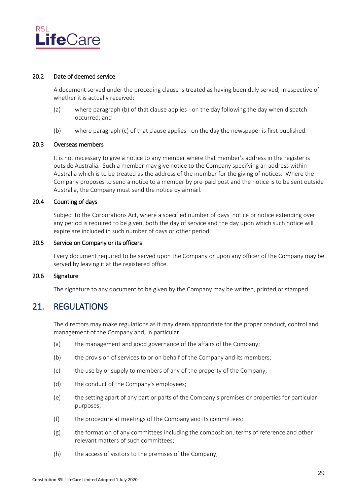

#### <span id="page-34-0"></span>20.2 Date of deemed service

A document served under the preceding clause is treated as having been duly served, irrespective of whether it is actually received:

- (a) where paragraph [\(b\)](#page-34-6) of that clause applies on the day following the day when dispatch occurred; and
- (b) where paragraph [\(c\)](#page-33-9) of that clause applies on the day the newspaper is first published.

#### <span id="page-34-6"></span><span id="page-34-1"></span>20.3 Overseas members

It is not necessary to give a notice to any member where that member's address in the register is outside Australia. Such a member may give notice to the Company specifying an address within Australia which is to be treated as the address of the member for the giving of notices. Where the Company proposes to send a notice to a member by pre-paid post and the notice is to be sent outside Australia, the Company must send the notice by airmail.

#### <span id="page-34-2"></span>20.4 Counting of days

Subject to the Corporations Act, where a specified number of days' notice or notice extending over any period is required to be given, both the day of service and the day upon which such notice will expire are included in such number of days or other period.

#### <span id="page-34-3"></span>20.5 Service on Company or its officers

Every document required to be served upon the Company or upon any officer of the Company may be served by leaving it at the registered office.

#### <span id="page-34-4"></span>20.6 Signature

The signature to any document to be given by the Company may be written, printed or stamped.

# <span id="page-34-5"></span>21. REGULATIONS

The directors may make regulations as it may deem appropriate for the proper conduct, control and management of the Company and, in particular:

- (a) the management and good governance of the affairs of the Company;
- (b) the provision of services to or on behalf of the Company and its members;
- (c) the use by or supply to members of any of the property of the Company;
- (d) the conduct of the Company's employees;
- (e) the setting apart of any part or parts of the Company's premises or properties for particular purposes;
- (f) the procedure at meetings of the Company and its committees;
- (g) the formation of any committees including the composition, terms of reference and other relevant matters of such committees;
- (h) the access of visitors to the premises of the Company;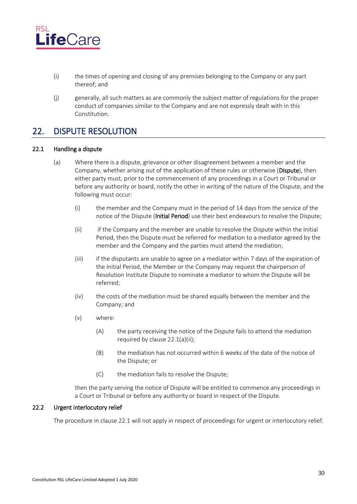

- (i) the times of opening and closing of any premises belonging to the Company or any part thereof; and
- (j) generally, all such matters as are commonly the subject matter of regulations for the proper conduct of companies similar to the Company and are not expressly dealt with in this Constitution.

# <span id="page-35-0"></span>22. DISPUTE RESOLUTION

# <span id="page-35-1"></span>22.1 Handling a dispute

- <span id="page-35-3"></span>(a) Where there is a dispute, grievance or other disagreement between a member and the Company, whether arising out of the application of these rules or otherwise (Dispute), then either party must, prior to the commencement of any proceedings in a Court or Tribunal or before any authority or board, notify the other in writing of the nature of the Dispute, and the following must occur:
	- (i) the member and the Company must in the period of 14 days from the service of the notice of the Dispute (Initial Period) use their best endeavours to resolve the Dispute;
	- (ii) if the Company and the member are unable to resolve the Dispute within the Initial Period, then the Dispute must be referred for mediation to a mediator agreed by the member and the Company and the parties must attend the mediation;
	- $(iii)$  if the disputants are unable to agree on a mediator within 7 days of the expiration of the Initial Period, the Member or the Company may request the chairperson of Resolution Institute Dispute to nominate a mediator to whom the Dispute will be referred;
	- (iv) the costs of the mediation must be shared equally between the member and the Company; and
	- (v) where:
		- (A) the party receiving the notice of the Dispute fails to attend the mediation required by clause 22.1(a[\)\(ii\);](#page-35-3)
		- (B) the mediation has not occurred within 6 weeks of the date of the notice of the Dispute; or
		- (C) the mediation fails to resolve the Dispute;

then the party serving the notice of Dispute will be entitled to commence any proceedings in a Court or Tribunal or before any authority or board in respect of the Dispute.

### <span id="page-35-2"></span>22.2 Urgent interlocutory relief

The procedure in claus[e 22.1](#page-35-1) will not apply in respect of proceedings for urgent or interlocutory relief.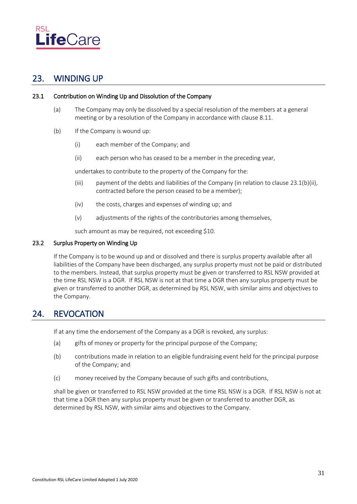

# <span id="page-36-0"></span>23. WINDING UP

## <span id="page-36-1"></span>23.1 Contribution on Winding Up and Dissolution of the Company

- (a) The Company may only be dissolved by a special resolution of the members at a general meeting or by a resolution of the Company in accordance with clause [8.11.](#page-20-6)
- <span id="page-36-4"></span>(b) If the Company is wound up:
	- (i) each member of the Company; and
	- (ii) each person who has ceased to be a member in the preceding year,

undertakes to contribute to the property of the Company for the:

- (iii) payment of the debts and liabilities of the Company (in relation to clause [23.1\(b\)\(ii\),](#page-36-4) contracted before the person ceased to be a member);
- (iv) the costs, charges and expenses of winding up; and
- (v) adjustments of the rights of the contributories among themselves,

such amount as may be required, not exceeding \$10.

# <span id="page-36-2"></span>23.2 Surplus Property on Winding Up

If the Company is to be wound up and or dissolved and there is surplus property available after all liabilities of the Company have been discharged, any surplus property must not be paid or distributed to the members. Instead, that surplus property must be given or transferred to RSL NSW provided at the time RSL NSW is a DGR. If RSL NSW is not at that time a DGR then any surplus property must be given or transferred to another DGR, as determined by RSL NSW, with similar aims and objectives to the Company.

# <span id="page-36-3"></span>24. REVOCATION

If at any time the endorsement of the Company as a DGR is revoked, any surplus:

- (a) gifts of money or property for the principal purpose of the Company;
- (b) contributions made in relation to an eligible fundraising event held for the principal purpose of the Company; and
- (c) money received by the Company because of such gifts and contributions,

shall be given or transferred to RSL NSW provided at the time RSL NSW is a DGR. If RSL NSW is not at that time a DGR then any surplus property must be given or transferred to another DGR, as determined by RSL NSW, with similar aims and objectives to the Company.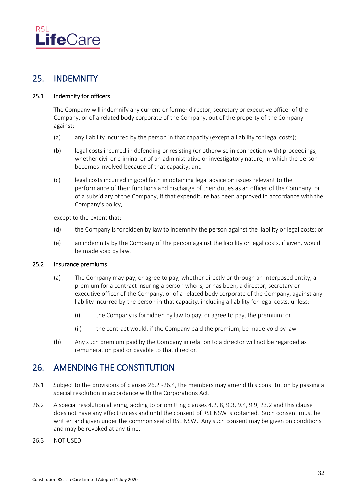

# <span id="page-37-0"></span>25. INDEMNITY

# <span id="page-37-1"></span>25.1 Indemnity for officers

The Company will indemnify any current or former director, secretary or executive officer of the Company, or of a related body corporate of the Company, out of the property of the Company against:

- (a) any liability incurred by the person in that capacity (except a liability for legal costs);
- (b) legal costs incurred in defending or resisting (or otherwise in connection with) proceedings, whether civil or criminal or of an administrative or investigatory nature, in which the person becomes involved because of that capacity; and
- (c) legal costs incurred in good faith in obtaining legal advice on issues relevant to the performance of their functions and discharge of their duties as an officer of the Company, or of a subsidiary of the Company, if that expenditure has been approved in accordance with the Company's policy,

except to the extent that:

- (d) the Company is forbidden by law to indemnify the person against the liability or legal costs; or
- (e) an indemnity by the Company of the person against the liability or legal costs, if given, would be made void by law.

### <span id="page-37-2"></span>25.2 Insurance premiums

- (a) The Company may pay, or agree to pay, whether directly or through an interposed entity, a premium for a contract insuring a person who is, or has been, a director, secretary or executive officer of the Company, or of a related body corporate of the Company, against any liability incurred by the person in that capacity, including a liability for legal costs, unless:
	- (i) the Company is forbidden by law to pay, or agree to pay, the premium; or
	- (ii) the contract would, if the Company paid the premium, be made void by law.
- (b) Any such premium paid by the Company in relation to a director will not be regarded as remuneration paid or payable to that director.

# <span id="page-37-3"></span>26. AMENDING THE CONSTITUTION

- 26.1 Subject to the provisions of clauses 26.2 -26.4, the members may amend this constitution by passing a special resolution in accordance with the Corporations Act.
- 26.2 A special resolution altering, adding to or omitting clauses [4.2,](#page-10-2) [8,](#page-19-2) [9.3,](#page-21-7) [9.4,](#page-22-0) [9.9,](#page-24-2) [23.2](#page-36-2) and this clause does not have any effect unless and until the consent of RSL NSW is obtained. Such consent must be written and given under the common seal of RSL NSW. Any such consent may be given on conditions and may be revoked at any time.
- 26.3 NOT USED